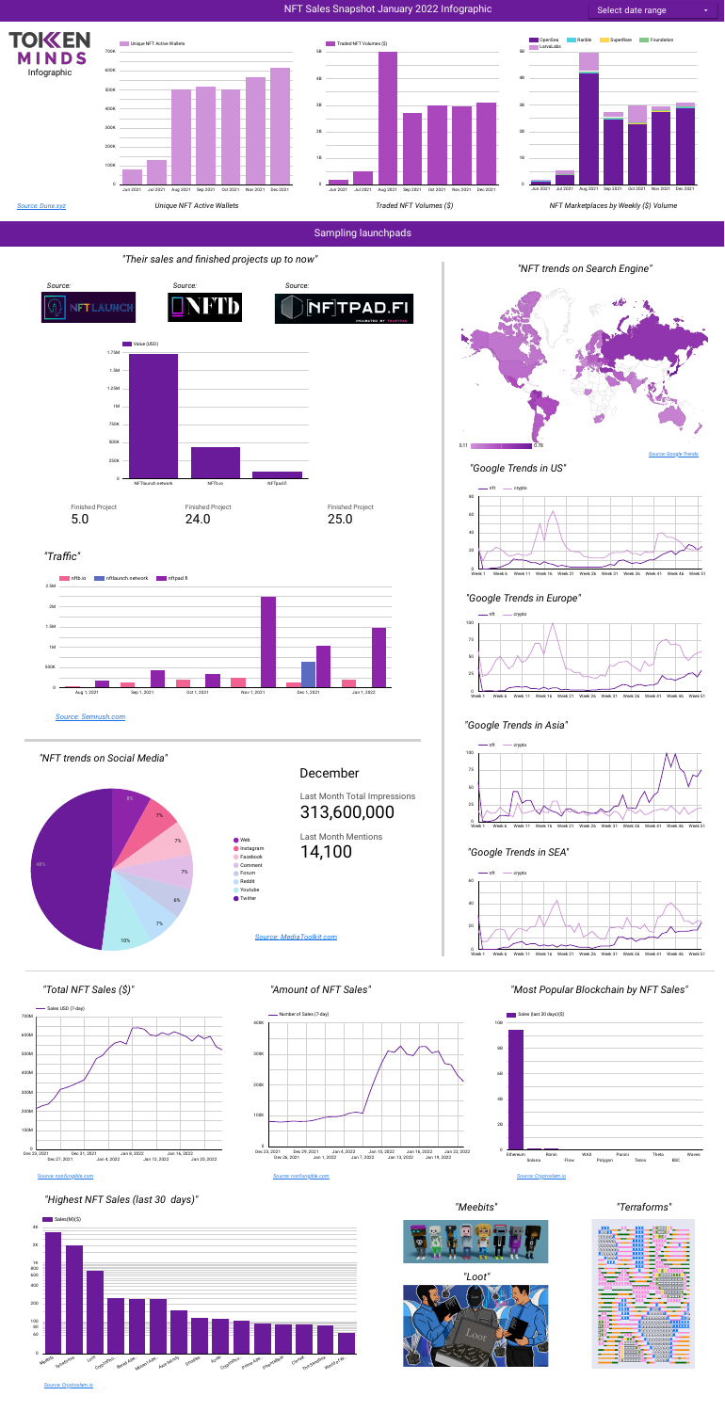

# NFT Sales Snapshot January 2022 Infographic







# *"Google Trends in Europe"*



# *"Google Trends in Asia"*

*"NFT trends on Social Media"*

Last Month Mentions 14,100

Last Month Total Impressions 313,600,000





*"Google Trends in SEA"*





December

















# *"Total NFT Sales (\$)" "Amount of NFT Sales" "Most Popular Blockchain by NFT Sales"*





## *"Highest NFT Sales (last 30 days)"*

## *"Meebits" "Terraforms"*





*Source: [Dune.xyz](https://dune.xyz/thomas_m/NFT-stats)*

### *Source: [Semrush.com](https://www.semrush.com/analytics/traffic/overview)*

#### *Source: [Cryptoslam.io](https://cryptoslam.io/)*